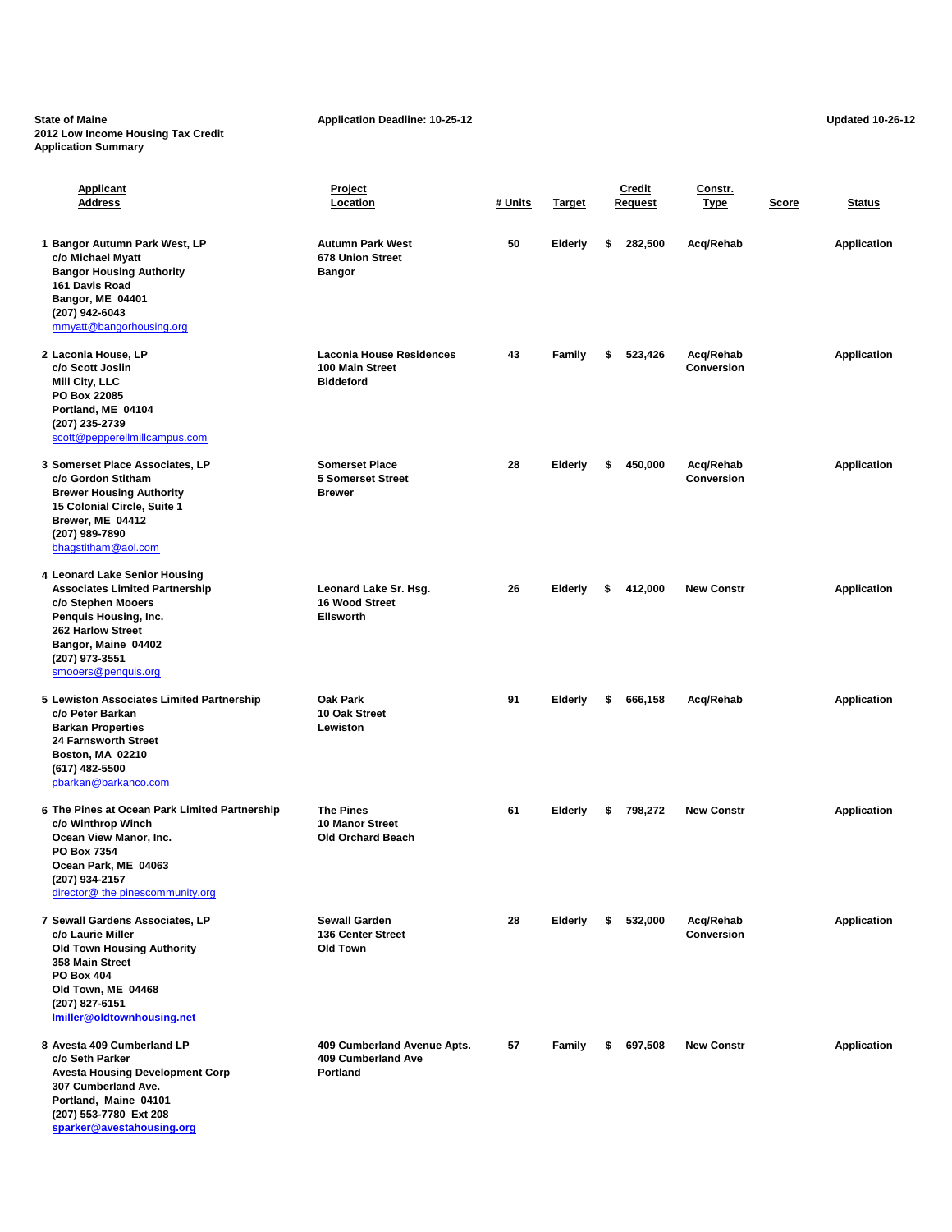**State of Maine Application Deadline: 10-25-12 Application Deadline: 10-25-12 Application Deadline: 10-25-12 2012 Low Income Housing Tax Credit Application Summary**

**[sparker@avestahousing.org](mailto:sparker@avestahousing.org)**

| <b>Applicant</b><br><b>Address</b>                                                                                                                                                                         | <u>Project</u><br>Location                                             | # Units | <u>Target</u>  | Credit<br><b>Request</b> | Constr.<br><b>Type</b>         | Score | Status             |
|------------------------------------------------------------------------------------------------------------------------------------------------------------------------------------------------------------|------------------------------------------------------------------------|---------|----------------|--------------------------|--------------------------------|-------|--------------------|
| 1 Bangor Autumn Park West, LP<br>c/o Michael Myatt<br><b>Bangor Housing Authority</b><br>161 Davis Road<br>Bangor, ME 04401<br>(207) 942-6043<br>mmyatt@bangorhousing.org                                  | <b>Autumn Park West</b><br>678 Union Street<br><b>Bangor</b>           | 50      | <b>Elderly</b> | \$<br>282,500            | Acq/Rehab                      |       | <b>Application</b> |
| 2 Laconia House, LP<br>c/o Scott Joslin<br>Mill City, LLC<br>PO Box 22085<br>Portland, ME 04104<br>(207) 235-2739<br>scott@pepperellmillcampus.com                                                         | <b>Laconia House Residences</b><br>100 Main Street<br><b>Biddeford</b> | 43      | <b>Family</b>  | \$<br>523,426            | Acq/Rehab<br><b>Conversion</b> |       | <b>Application</b> |
| 3 Somerset Place Associates, LP<br>c/o Gordon Stitham<br><b>Brewer Housing Authority</b><br>15 Colonial Circle, Suite 1<br>Brewer, ME 04412<br>(207) 989-7890<br>bhagstitham@aol.com                       | <b>Somerset Place</b><br><b>5 Somerset Street</b><br><b>Brewer</b>     | 28      | <b>Elderly</b> | \$<br>450,000            | Acq/Rehab<br><b>Conversion</b> |       | <b>Application</b> |
| 4 Leonard Lake Senior Housing<br><b>Associates Limited Partnership</b><br>c/o Stephen Mooers<br>Penquis Housing, Inc.<br>262 Harlow Street<br>Bangor, Maine 04402<br>(207) 973-3551<br>smooers@penquis.org | Leonard Lake Sr. Hsg.<br><b>16 Wood Street</b><br><b>Ellsworth</b>     | 26      | <b>Elderly</b> | 412,000<br>\$            | <b>New Constr</b>              |       | <b>Application</b> |
| 5 Lewiston Associates Limited Partnership<br>c/o Peter Barkan<br><b>Barkan Properties</b><br><b>24 Farnsworth Street</b><br>Boston, MA 02210<br>(617) 482-5500<br>pbarkan@barkanco.com                     | <b>Oak Park</b><br>10 Oak Street<br>Lewiston                           | 91      | Elderly        | \$<br>666,158            | Acq/Rehab                      |       | <b>Application</b> |
| 6 The Pines at Ocean Park Limited Partnership<br>c/o Winthrop Winch<br>Ocean View Manor, Inc.<br>PO Box 7354<br>Ocean Park, ME 04063<br>(207) 934-2157<br>director@ the pinescommunity.org                 | <b>The Pines</b><br><b>10 Manor Street</b><br><b>Old Orchard Beach</b> | 61      | <b>Elderly</b> | \$<br>798,272            | <b>New Constr</b>              |       | <b>Application</b> |
| 7 Sewall Gardens Associates, LP<br>c/o Laurie Miller<br><b>Old Town Housing Authority</b><br>358 Main Street<br><b>PO Box 404</b><br>Old Town, ME 04468<br>(207) 827-6151<br>Imiller@oldtownhousing.net    | <b>Sewall Garden</b><br>136 Center Street<br>Old Town                  | 28      | <b>Elderly</b> | \$<br>532,000            | Acq/Rehab<br>Conversion        |       | <b>Application</b> |
| 8 Avesta 409 Cumberland LP<br>c/o Seth Parker<br><b>Avesta Housing Development Corp</b><br>307 Cumberland Ave.<br>Portland, Maine 04101<br>(207) 553-7780 Ext 208                                          | 409 Cumberland Avenue Apts.<br>409 Cumberland Ave<br>Portland          | 57      | <b>Family</b>  | 697,508<br>\$            | <b>New Constr</b>              |       | <b>Application</b> |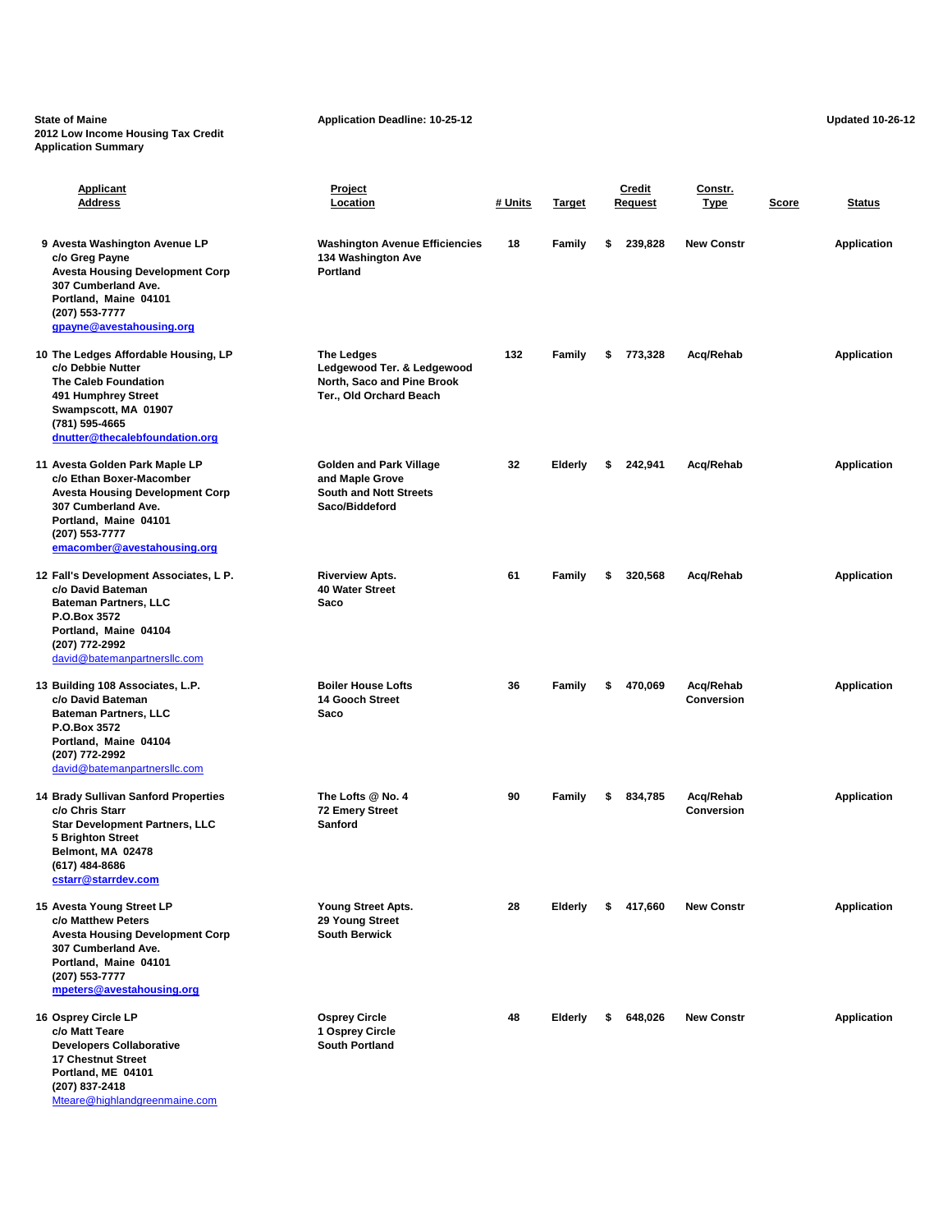**State of Maine Application Deadline: 10-25-12 Application Deadline: 10-25-12 Updated 10-26-12 2012 Low Income Housing Tax Credit Application Summary**

| Applicant<br><b>Address</b>                                                                                                                                                                           | Project<br>Location                                                                                      | # Units | <b>Target</b>  | <b>Credit</b><br>Request | Constr.<br><u>Type</u>         | Score | Status             |
|-------------------------------------------------------------------------------------------------------------------------------------------------------------------------------------------------------|----------------------------------------------------------------------------------------------------------|---------|----------------|--------------------------|--------------------------------|-------|--------------------|
| 9 Avesta Washington Avenue LP<br>c/o Greg Payne<br><b>Avesta Housing Development Corp</b><br>307 Cumberland Ave.<br>Portland, Maine 04101<br>(207) 553-7777<br>gpayne@avestahousing.org               | <b>Washington Avenue Efficiencies</b><br>134 Washington Ave<br><b>Portland</b>                           | 18      | Family         | \$<br>239,828            | <b>New Constr</b>              |       | <b>Application</b> |
| 10 The Ledges Affordable Housing, LP<br>c/o Debbie Nutter<br>The Caleb Foundation<br>491 Humphrey Street<br>Swampscott, MA 01907<br>(781) 595-4665<br>dnutter@thecalebfoundation.org                  | <b>The Ledges</b><br>Ledgewood Ter. & Ledgewood<br>North, Saco and Pine Brook<br>Ter., Old Orchard Beach | 132     | Family         | \$<br>773,328            | Acq/Rehab                      |       | <b>Application</b> |
| 11 Avesta Golden Park Maple LP<br>c/o Ethan Boxer-Macomber<br><b>Avesta Housing Development Corp</b><br>307 Cumberland Ave.<br>Portland, Maine 04101<br>(207) 553-7777<br>emacomber@avestahousing.org | <b>Golden and Park Village</b><br>and Maple Grove<br><b>South and Nott Streets</b><br>Saco/Biddeford     | 32      | Elderly        | \$<br>242,941            | Acq/Rehab                      |       | <b>Application</b> |
| 12 Fall's Development Associates, L P.<br>c/o David Bateman<br><b>Bateman Partners, LLC</b><br>P.O.Box 3572<br>Portland, Maine 04104<br>(207) 772-2992<br>david@batemanpartnersllc.com                | <b>Riverview Apts.</b><br>40 Water Street<br>Saco                                                        | 61      | Family         | \$<br>320,568            | Acq/Rehab                      |       | <b>Application</b> |
| 13 Building 108 Associates, L.P.<br>c/o David Bateman<br><b>Bateman Partners, LLC</b><br>P.O.Box 3572<br>Portland, Maine 04104<br>(207) 772-2992<br>david@batemanpartnersllc.com                      | <b>Boiler House Lofts</b><br>14 Gooch Street<br>Saco                                                     | 36      | Family         | \$<br>470,069            | Acq/Rehab<br><b>Conversion</b> |       | <b>Application</b> |
| 14 Brady Sullivan Sanford Properties<br>c/o Chris Starr<br><b>Star Development Partners, LLC</b><br><b>5 Brighton Street</b><br>Belmont, MA 02478<br>(617) 484-8686<br>cstarr@starrdev.com            | The Lofts @ No. 4<br><b>72 Emery Street</b><br><b>Sanford</b>                                            | 90      | Family         | \$<br>834,785            | Acq/Rehab<br><b>Conversion</b> |       | <b>Application</b> |
| 15 Avesta Young Street LP<br>c/o Matthew Peters<br><b>Avesta Housing Development Corp</b><br>307 Cumberland Ave.<br>Portland, Maine 04101<br>(207) 553-7777<br>mpeters@avestahousing.org              | Young Street Apts.<br>29 Young Street<br><b>South Berwick</b>                                            | 28      | Elderly        | 417.660                  | <b>New Constr</b>              |       | <b>Application</b> |
| 16 Osprey Circle LP<br>c/o Matt Teare<br><b>Developers Collaborative</b><br><b>17 Chestnut Street</b><br>Portland, ME 04101                                                                           | <b>Osprey Circle</b><br>1 Osprey Circle<br><b>South Portland</b>                                         | 48      | <b>Elderly</b> | \$<br>648,026            | <b>New Constr</b>              |       | <b>Application</b> |

**(207) 837-2418** [Mteare@highlandgreenmaine.com](mailto:Mteare@highlandgreenmaine.com)